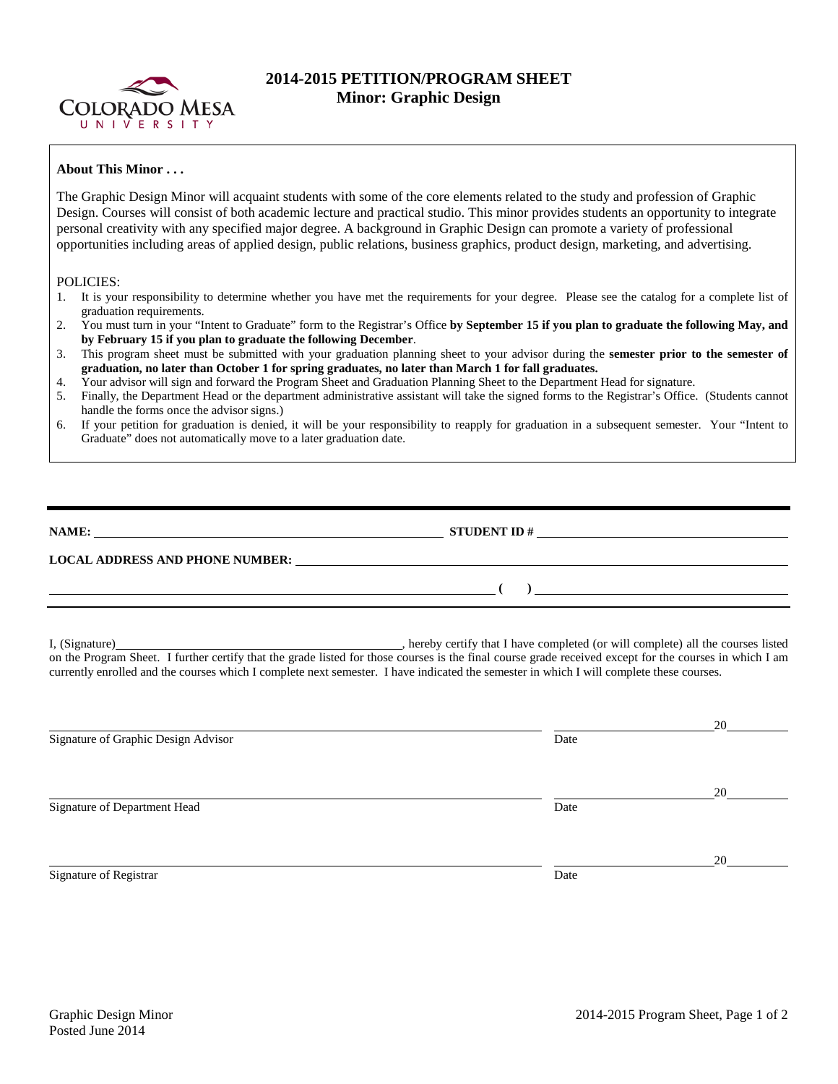

## **2014-2015 PETITION/PROGRAM SHEET Minor: Graphic Design**

## **About This Minor . . .**

The Graphic Design Minor will acquaint students with some of the core elements related to the study and profession of Graphic Design. Courses will consist of both academic lecture and practical studio. This minor provides students an opportunity to integrate personal creativity with any specified major degree. A background in Graphic Design can promote a variety of professional opportunities including areas of applied design, public relations, business graphics, product design, marketing, and advertising.

## POLICIES:

- 1. It is your responsibility to determine whether you have met the requirements for your degree. Please see the catalog for a complete list of graduation requirements.
- 2. You must turn in your "Intent to Graduate" form to the Registrar's Office **by September 15 if you plan to graduate the following May, and by February 15 if you plan to graduate the following December**.
- 3. This program sheet must be submitted with your graduation planning sheet to your advisor during the **semester prior to the semester of graduation, no later than October 1 for spring graduates, no later than March 1 for fall graduates.**
- 4. Your advisor will sign and forward the Program Sheet and Graduation Planning Sheet to the Department Head for signature.
- 5. Finally, the Department Head or the department administrative assistant will take the signed forms to the Registrar's Office. (Students cannot handle the forms once the advisor signs.)
- 6. If your petition for graduation is denied, it will be your responsibility to reapply for graduation in a subsequent semester. Your "Intent to Graduate" does not automatically move to a later graduation date.

| NAME:                                  | <b>STUDENT ID#</b> |  |  |
|----------------------------------------|--------------------|--|--|
| <b>LOCAL ADDRESS AND PHONE NUMBER:</b> |                    |  |  |
|                                        |                    |  |  |

I, (Signature) **Source 2008** (Signature) **, hereby certify that I have completed** (or will complete) all the courses listed on the Program Sheet. I further certify that the grade listed for those courses is the final course grade received except for the courses in which I am currently enrolled and the courses which I complete next semester. I have indicated the semester in which I will complete these courses.

|                                     |      | 20 |
|-------------------------------------|------|----|
| Signature of Graphic Design Advisor | Date |    |
|                                     |      |    |
|                                     |      | 20 |
| Signature of Department Head        | Date |    |
|                                     |      |    |
|                                     |      | 20 |
| Signature of Registrar              | Date |    |
|                                     |      |    |